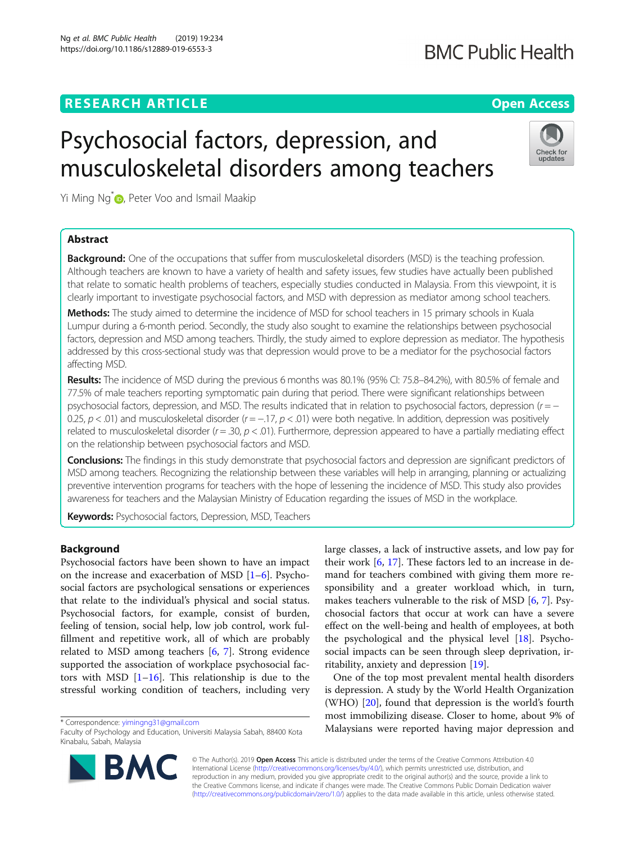## **RESEARCH ARTICLE Example 2014 12:30 The Contract of Contract ACCESS**

# Psychosocial factors, depression, and musculoskeletal disorders among teachers

Yi Ming Ng<sup>\*</sup> D[,](http://orcid.org/0000-0003-1827-9874) Peter Voo and Ismail Maakip

## Abstract

**Background:** One of the occupations that suffer from musculoskeletal disorders (MSD) is the teaching profession. Although teachers are known to have a variety of health and safety issues, few studies have actually been published that relate to somatic health problems of teachers, especially studies conducted in Malaysia. From this viewpoint, it is clearly important to investigate psychosocial factors, and MSD with depression as mediator among school teachers.

Methods: The study aimed to determine the incidence of MSD for school teachers in 15 primary schools in Kuala Lumpur during a 6-month period. Secondly, the study also sought to examine the relationships between psychosocial factors, depression and MSD among teachers. Thirdly, the study aimed to explore depression as mediator. The hypothesis addressed by this cross-sectional study was that depression would prove to be a mediator for the psychosocial factors affecting MSD.

Results: The incidence of MSD during the previous 6 months was 80.1% (95% CI: 75.8–84.2%), with 80.5% of female and 77.5% of male teachers reporting symptomatic pain during that period. There were significant relationships between psychosocial factors, depression, and MSD. The results indicated that in relation to psychosocial factors, depression ( $r = -$ 0.25,  $p < .01$ ) and musculoskeletal disorder ( $r = -.17$ ,  $p < .01$ ) were both negative. In addition, depression was positively related to musculoskeletal disorder ( $r = .30$ ,  $p < .01$ ). Furthermore, depression appeared to have a partially mediating effect on the relationship between psychosocial factors and MSD.

Conclusions: The findings in this study demonstrate that psychosocial factors and depression are significant predictors of MSD among teachers. Recognizing the relationship between these variables will help in arranging, planning or actualizing preventive intervention programs for teachers with the hope of lessening the incidence of MSD. This study also provides awareness for teachers and the Malaysian Ministry of Education regarding the issues of MSD in the workplace.

Keywords: Psychosocial factors, Depression, MSD, Teachers

## Background

Psychosocial factors have been shown to have an impact on the increase and exacerbation of MSD  $[1-6]$  $[1-6]$  $[1-6]$  $[1-6]$ . Psychosocial factors are psychological sensations or experiences that relate to the individual's physical and social status. Psychosocial factors, for example, consist of burden, feeling of tension, social help, low job control, work fulfillment and repetitive work, all of which are probably related to MSD among teachers [[6,](#page-7-0) [7\]](#page-7-0). Strong evidence supported the association of workplace psychosocial factors with MSD  $[1–16]$  $[1–16]$  $[1–16]$  $[1–16]$ . This relationship is due to the stressful working condition of teachers, including very

© The Author(s). 2019 Open Access This article is distributed under the terms of the Creative Commons Attribution 4.0 International License [\(http://creativecommons.org/licenses/by/4.0/](http://creativecommons.org/licenses/by/4.0/)), which permits unrestricted use, distribution, and reproduction in any medium, provided you give appropriate credit to the original author(s) and the source, provide a link to the Creative Commons license, and indicate if changes were made. The Creative Commons Public Domain Dedication waiver [\(http://creativecommons.org/publicdomain/zero/1.0/](http://creativecommons.org/publicdomain/zero/1.0/)) applies to the data made available in this article, unless otherwise stated.

large classes, a lack of instructive assets, and low pay for their work  $[6, 17]$  $[6, 17]$  $[6, 17]$  $[6, 17]$ . These factors led to an increase in demand for teachers combined with giving them more responsibility and a greater workload which, in turn, makes teachers vulnerable to the risk of MSD [\[6](#page-7-0), [7](#page-7-0)]. Psychosocial factors that occur at work can have a severe effect on the well-being and health of employees, at both the psychological and the physical level [\[18\]](#page-8-0). Psychosocial impacts can be seen through sleep deprivation, irritability, anxiety and depression [[19](#page-8-0)].

One of the top most prevalent mental health disorders is depression. A study by the World Health Organization (WHO) [[20\]](#page-8-0), found that depression is the world's fourth most immobilizing disease. Closer to home, about 9% of \* Correspondence: [yimingng31@gmail.com](mailto:yimingng31@gmail.com) **and the correspondence: yimingng31@gmail.com**<br>Faculty of Psychology and Education Universiti Malaysia Sabab 88400 Kota **Malaysians were reported having major depression and** 





## Ng et al. BMC Public Health (2019) 19:234 https://doi.org/10.1186/s12889-019-6553-3



Faculty of Psychology and Education, Universiti Malaysia Sabah, 88400 Kota Kinabalu, Sabah, Malaysia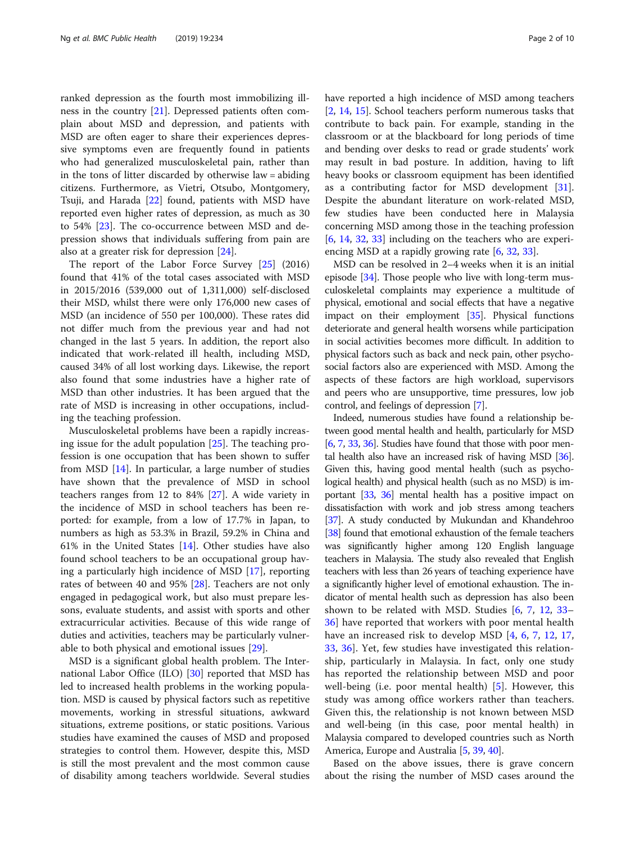ranked depression as the fourth most immobilizing illness in the country [\[21](#page-8-0)]. Depressed patients often complain about MSD and depression, and patients with MSD are often eager to share their experiences depressive symptoms even are frequently found in patients who had generalized musculoskeletal pain, rather than in the tons of litter discarded by otherwise law = abiding citizens. Furthermore, as Vietri, Otsubo, Montgomery, Tsuji, and Harada [[22](#page-8-0)] found, patients with MSD have reported even higher rates of depression, as much as 30 to 54% [\[23\]](#page-8-0). The co-occurrence between MSD and depression shows that individuals suffering from pain are also at a greater risk for depression [[24\]](#page-8-0).

The report of the Labor Force Survey [[25\]](#page-8-0) (2016) found that 41% of the total cases associated with MSD in 2015/2016 (539,000 out of 1,311,000) self-disclosed their MSD, whilst there were only 176,000 new cases of MSD (an incidence of 550 per 100,000). These rates did not differ much from the previous year and had not changed in the last 5 years. In addition, the report also indicated that work-related ill health, including MSD, caused 34% of all lost working days. Likewise, the report also found that some industries have a higher rate of MSD than other industries. It has been argued that the rate of MSD is increasing in other occupations, including the teaching profession.

Musculoskeletal problems have been a rapidly increasing issue for the adult population [[25\]](#page-8-0). The teaching profession is one occupation that has been shown to suffer from MSD [\[14](#page-8-0)]. In particular, a large number of studies have shown that the prevalence of MSD in school teachers ranges from 12 to 84% [\[27](#page-8-0)]. A wide variety in the incidence of MSD in school teachers has been reported: for example, from a low of 17.7% in Japan, to numbers as high as 53.3% in Brazil, 59.2% in China and 61% in the United States [\[14\]](#page-8-0). Other studies have also found school teachers to be an occupational group having a particularly high incidence of MSD [[17\]](#page-8-0), reporting rates of between 40 and 95% [\[28\]](#page-8-0). Teachers are not only engaged in pedagogical work, but also must prepare lessons, evaluate students, and assist with sports and other extracurricular activities. Because of this wide range of duties and activities, teachers may be particularly vulnerable to both physical and emotional issues [\[29\]](#page-8-0).

MSD is a significant global health problem. The International Labor Office (ILO) [\[30\]](#page-8-0) reported that MSD has led to increased health problems in the working population. MSD is caused by physical factors such as repetitive movements, working in stressful situations, awkward situations, extreme positions, or static positions. Various studies have examined the causes of MSD and proposed strategies to control them. However, despite this, MSD is still the most prevalent and the most common cause of disability among teachers worldwide. Several studies have reported a high incidence of MSD among teachers [[2,](#page-7-0) [14,](#page-8-0) [15\]](#page-8-0). School teachers perform numerous tasks that contribute to back pain. For example, standing in the classroom or at the blackboard for long periods of time and bending over desks to read or grade students' work may result in bad posture. In addition, having to lift heavy books or classroom equipment has been identified as a contributing factor for MSD development [\[31](#page-8-0)]. Despite the abundant literature on work-related MSD, few studies have been conducted here in Malaysia concerning MSD among those in the teaching profession [[6,](#page-7-0) [14](#page-8-0), [32](#page-8-0), [33\]](#page-8-0) including on the teachers who are experiencing MSD at a rapidly growing rate [\[6](#page-7-0), [32](#page-8-0), [33](#page-8-0)].

MSD can be resolved in 2–4 weeks when it is an initial episode [\[34\]](#page-8-0). Those people who live with long-term musculoskeletal complaints may experience a multitude of physical, emotional and social effects that have a negative impact on their employment [\[35\]](#page-8-0). Physical functions deteriorate and general health worsens while participation in social activities becomes more difficult. In addition to physical factors such as back and neck pain, other psychosocial factors also are experienced with MSD. Among the aspects of these factors are high workload, supervisors and peers who are unsupportive, time pressures, low job control, and feelings of depression [\[7\]](#page-7-0).

Indeed, numerous studies have found a relationship between good mental health and health, particularly for MSD [[6](#page-7-0), [7,](#page-7-0) [33](#page-8-0), [36](#page-8-0)]. Studies have found that those with poor mental health also have an increased risk of having MSD [\[36](#page-8-0)]. Given this, having good mental health (such as psychological health) and physical health (such as no MSD) is important [\[33,](#page-8-0) [36\]](#page-8-0) mental health has a positive impact on dissatisfaction with work and job stress among teachers [[37](#page-8-0)]. A study conducted by Mukundan and Khandehroo [[38](#page-8-0)] found that emotional exhaustion of the female teachers was significantly higher among 120 English language teachers in Malaysia. The study also revealed that English teachers with less than 26 years of teaching experience have a significantly higher level of emotional exhaustion. The indicator of mental health such as depression has also been shown to be related with MSD. Studies [\[6](#page-7-0), [7,](#page-7-0) [12](#page-7-0), [33](#page-8-0)– [36\]](#page-8-0) have reported that workers with poor mental health have an increased risk to develop MSD [\[4](#page-7-0), [6](#page-7-0), [7,](#page-7-0) [12,](#page-7-0) [17](#page-8-0), [33,](#page-8-0) [36](#page-8-0)]. Yet, few studies have investigated this relationship, particularly in Malaysia. In fact, only one study has reported the relationship between MSD and poor well-being (i.e. poor mental health) [\[5](#page-7-0)]. However, this study was among office workers rather than teachers. Given this, the relationship is not known between MSD and well-being (in this case, poor mental health) in Malaysia compared to developed countries such as North America, Europe and Australia [\[5,](#page-7-0) [39](#page-8-0), [40\]](#page-8-0).

Based on the above issues, there is grave concern about the rising the number of MSD cases around the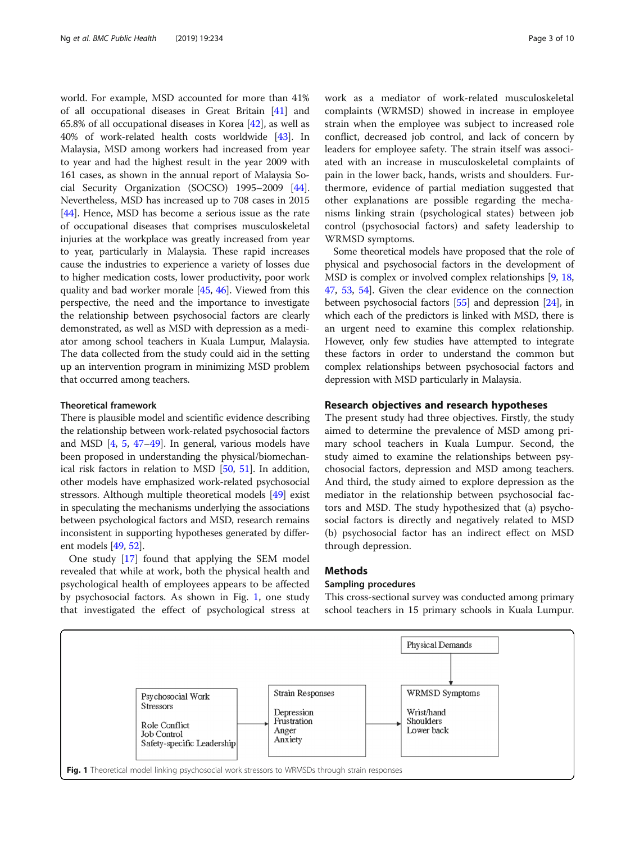world. For example, MSD accounted for more than 41% of all occupational diseases in Great Britain [\[41\]](#page-8-0) and 65.8% of all occupational diseases in Korea [[42](#page-8-0)], as well as 40% of work-related health costs worldwide [[43](#page-8-0)]. In Malaysia, MSD among workers had increased from year to year and had the highest result in the year 2009 with 161 cases, as shown in the annual report of Malaysia Social Security Organization (SOCSO) 1995–2009 [[44](#page-8-0)]. Nevertheless, MSD has increased up to 708 cases in 2015 [[44](#page-8-0)]. Hence, MSD has become a serious issue as the rate of occupational diseases that comprises musculoskeletal injuries at the workplace was greatly increased from year to year, particularly in Malaysia. These rapid increases cause the industries to experience a variety of losses due to higher medication costs, lower productivity, poor work quality and bad worker morale [[45](#page-8-0), [46](#page-8-0)]. Viewed from this perspective, the need and the importance to investigate the relationship between psychosocial factors are clearly demonstrated, as well as MSD with depression as a mediator among school teachers in Kuala Lumpur, Malaysia. The data collected from the study could aid in the setting up an intervention program in minimizing MSD problem that occurred among teachers.

#### Theoretical framework

There is plausible model and scientific evidence describing the relationship between work-related psychosocial factors and MSD [[4](#page-7-0), [5](#page-7-0), [47](#page-8-0)–[49](#page-8-0)]. In general, various models have been proposed in understanding the physical/biomechanical risk factors in relation to MSD [\[50,](#page-8-0) [51](#page-8-0)]. In addition, other models have emphasized work-related psychosocial stressors. Although multiple theoretical models [[49\]](#page-8-0) exist in speculating the mechanisms underlying the associations between psychological factors and MSD, research remains inconsistent in supporting hypotheses generated by different models [\[49](#page-8-0), [52](#page-8-0)].

One study [[17](#page-8-0)] found that applying the SEM model revealed that while at work, both the physical health and psychological health of employees appears to be affected by psychosocial factors. As shown in Fig. 1, one study that investigated the effect of psychological stress at work as a mediator of work-related musculoskeletal complaints (WRMSD) showed in increase in employee strain when the employee was subject to increased role conflict, decreased job control, and lack of concern by leaders for employee safety. The strain itself was associated with an increase in musculoskeletal complaints of pain in the lower back, hands, wrists and shoulders. Furthermore, evidence of partial mediation suggested that other explanations are possible regarding the mechanisms linking strain (psychological states) between job control (psychosocial factors) and safety leadership to WRMSD symptoms.

Some theoretical models have proposed that the role of physical and psychosocial factors in the development of MSD is complex or involved complex relationships [[9,](#page-7-0) [18](#page-8-0), [47](#page-8-0), [53](#page-8-0), [54](#page-8-0)]. Given the clear evidence on the connection between psychosocial factors [\[55\]](#page-8-0) and depression [\[24\]](#page-8-0), in which each of the predictors is linked with MSD, there is an urgent need to examine this complex relationship. However, only few studies have attempted to integrate these factors in order to understand the common but complex relationships between psychosocial factors and depression with MSD particularly in Malaysia.

#### Research objectives and research hypotheses

The present study had three objectives. Firstly, the study aimed to determine the prevalence of MSD among primary school teachers in Kuala Lumpur. Second, the study aimed to examine the relationships between psychosocial factors, depression and MSD among teachers. And third, the study aimed to explore depression as the mediator in the relationship between psychosocial factors and MSD. The study hypothesized that (a) psychosocial factors is directly and negatively related to MSD (b) psychosocial factor has an indirect effect on MSD through depression.

## **Methods**

## Sampling procedures

This cross-sectional survey was conducted among primary school teachers in 15 primary schools in Kuala Lumpur.

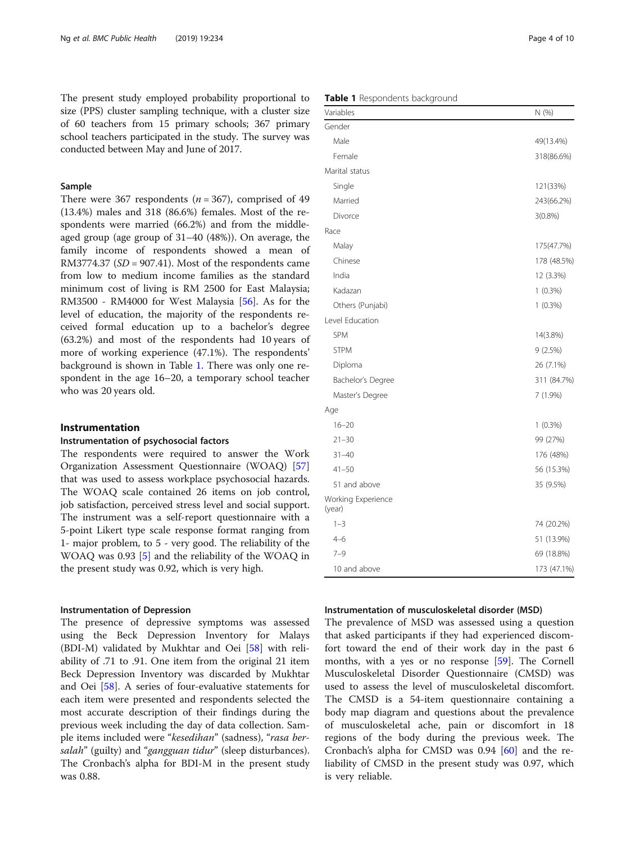The present study employed probability proportional to size (PPS) cluster sampling technique, with a cluster size of 60 teachers from 15 primary schools; 367 primary school teachers participated in the study. The survey was conducted between May and June of 2017.

## Sample

There were 367 respondents ( $n = 367$ ), comprised of 49 (13.4%) males and 318 (86.6%) females. Most of the respondents were married (66.2%) and from the middleaged group (age group of 31–40 (48%)). On average, the family income of respondents showed a mean of RM3774.37  $(SD = 907.41)$ . Most of the respondents came from low to medium income families as the standard minimum cost of living is RM 2500 for East Malaysia; RM3500 - RM4000 for West Malaysia [\[56](#page-8-0)]. As for the level of education, the majority of the respondents received formal education up to a bachelor's degree (63.2%) and most of the respondents had 10 years of more of working experience (47.1%). The respondents' background is shown in Table 1. There was only one respondent in the age 16–20, a temporary school teacher who was 20 years old.

#### Instrumentation

## Instrumentation of psychosocial factors

The respondents were required to answer the Work Organization Assessment Questionnaire (WOAQ) [[57](#page-8-0)] that was used to assess workplace psychosocial hazards. The WOAQ scale contained 26 items on job control, job satisfaction, perceived stress level and social support. The instrument was a self-report questionnaire with a 5-point Likert type scale response format ranging from 1- major problem, to 5 - very good. The reliability of the WOAQ was 0.93 [[5](#page-7-0)] and the reliability of the WOAQ in the present study was 0.92, which is very high.

## Instrumentation of Depression

The presence of depressive symptoms was assessed using the Beck Depression Inventory for Malays (BDI-M) validated by Mukhtar and Oei [[58\]](#page-8-0) with reliability of .71 to .91. One item from the original 21 item Beck Depression Inventory was discarded by Mukhtar and Oei [[58](#page-8-0)]. A series of four-evaluative statements for each item were presented and respondents selected the most accurate description of their findings during the previous week including the day of data collection. Sample items included were "kesedihan" (sadness), "rasa bersalah" (guilty) and "gangguan tidur" (sleep disturbances). The Cronbach's alpha for BDI-M in the present study was 0.88.

|  | Table 1 Respondents background |  |
|--|--------------------------------|--|
|--|--------------------------------|--|

| Variables                    | N (%)       |
|------------------------------|-------------|
| Gender                       |             |
| Male                         | 49(13.4%)   |
| Female                       | 318(86.6%)  |
| Marital status               |             |
| Single                       | 121(33%)    |
| Married                      | 243(66.2%)  |
| Divorce                      | $3(0.8\%)$  |
| Race                         |             |
| Malay                        | 175(47.7%)  |
| Chinese                      | 178 (48.5%) |
| India                        | 12 (3.3%)   |
| Kadazan                      | $1(0.3\%)$  |
| Others (Punjabi)             | $1(0.3\%)$  |
| Level Education              |             |
| <b>SPM</b>                   | 14(3.8%)    |
| <b>STPM</b>                  | 9(2.5%)     |
| Diploma                      | 26 (7.1%)   |
| Bachelor's Degree            | 311 (84.7%) |
| Master's Degree              | 7 (1.9%)    |
| Age                          |             |
| $16 - 20$                    | $1(0.3\%)$  |
| $21 - 30$                    | 99 (27%)    |
| $31 - 40$                    | 176 (48%)   |
| $41 - 50$                    | 56 (15.3%)  |
| 51 and above                 | 35 (9.5%)   |
| Working Experience<br>(year) |             |
| $1 - 3$                      | 74 (20.2%)  |
| $4 - 6$                      | 51 (13.9%)  |
| $7 - 9$                      | 69 (18.8%)  |
| 10 and above                 | 173 (47.1%) |

#### Instrumentation of musculoskeletal disorder (MSD)

The prevalence of MSD was assessed using a question that asked participants if they had experienced discomfort toward the end of their work day in the past 6 months, with a yes or no response [[59\]](#page-8-0). The Cornell Musculoskeletal Disorder Questionnaire (CMSD) was used to assess the level of musculoskeletal discomfort. The CMSD is a 54-item questionnaire containing a body map diagram and questions about the prevalence of musculoskeletal ache, pain or discomfort in 18 regions of the body during the previous week. The Cronbach's alpha for CMSD was 0.94 [[60\]](#page-8-0) and the reliability of CMSD in the present study was 0.97, which is very reliable.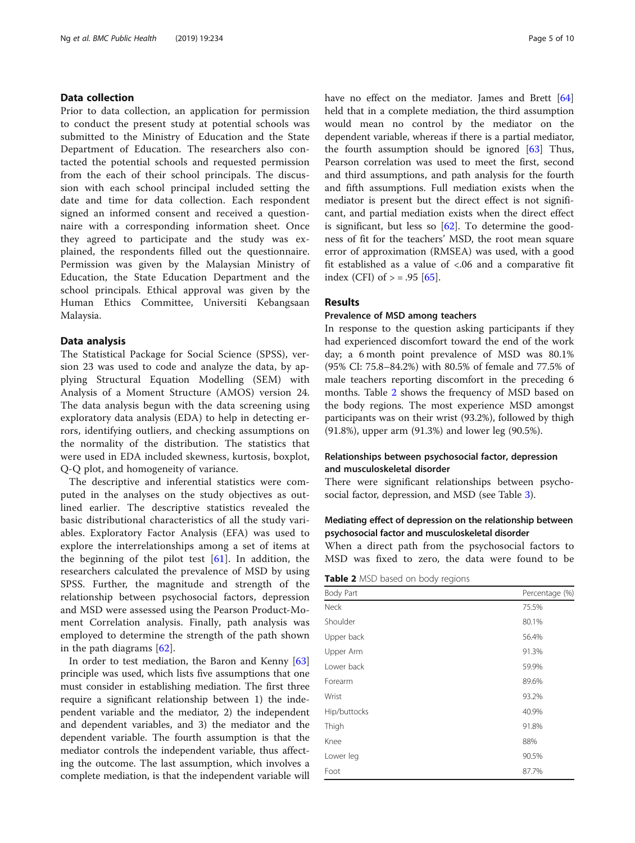## Data collection

Prior to data collection, an application for permission to conduct the present study at potential schools was submitted to the Ministry of Education and the State Department of Education. The researchers also contacted the potential schools and requested permission from the each of their school principals. The discussion with each school principal included setting the date and time for data collection. Each respondent signed an informed consent and received a questionnaire with a corresponding information sheet. Once they agreed to participate and the study was explained, the respondents filled out the questionnaire. Permission was given by the Malaysian Ministry of Education, the State Education Department and the school principals. Ethical approval was given by the Human Ethics Committee, Universiti Kebangsaan Malaysia.

#### Data analysis

The Statistical Package for Social Science (SPSS), version 23 was used to code and analyze the data, by applying Structural Equation Modelling (SEM) with Analysis of a Moment Structure (AMOS) version 24. The data analysis begun with the data screening using exploratory data analysis (EDA) to help in detecting errors, identifying outliers, and checking assumptions on the normality of the distribution. The statistics that were used in EDA included skewness, kurtosis, boxplot, Q-Q plot, and homogeneity of variance.

The descriptive and inferential statistics were computed in the analyses on the study objectives as outlined earlier. The descriptive statistics revealed the basic distributional characteristics of all the study variables. Exploratory Factor Analysis (EFA) was used to explore the interrelationships among a set of items at the beginning of the pilot test  $[61]$  $[61]$ . In addition, the researchers calculated the prevalence of MSD by using SPSS. Further, the magnitude and strength of the relationship between psychosocial factors, depression and MSD were assessed using the Pearson Product-Moment Correlation analysis. Finally, path analysis was employed to determine the strength of the path shown in the path diagrams  $[62]$  $[62]$ .

In order to test mediation, the Baron and Kenny [[63](#page-8-0)] principle was used, which lists five assumptions that one must consider in establishing mediation. The first three require a significant relationship between 1) the independent variable and the mediator, 2) the independent and dependent variables, and 3) the mediator and the dependent variable. The fourth assumption is that the mediator controls the independent variable, thus affecting the outcome. The last assumption, which involves a complete mediation, is that the independent variable will have no effect on the mediator. James and Brett [[64](#page-9-0)] held that in a complete mediation, the third assumption would mean no control by the mediator on the dependent variable, whereas if there is a partial mediator, the fourth assumption should be ignored  $[63]$  $[63]$  $[63]$  Thus, Pearson correlation was used to meet the first, second and third assumptions, and path analysis for the fourth and fifth assumptions. Full mediation exists when the mediator is present but the direct effect is not significant, and partial mediation exists when the direct effect is significant, but less so  $[62]$  $[62]$ . To determine the goodness of fit for the teachers' MSD, the root mean square error of approximation (RMSEA) was used, with a good fit established as a value of <.06 and a comparative fit index (CFI) of  $> = .95$  [\[65](#page-9-0)].

## Results

## Prevalence of MSD among teachers

In response to the question asking participants if they had experienced discomfort toward the end of the work day; a 6 month point prevalence of MSD was 80.1% (95% CI: 75.8–84.2%) with 80.5% of female and 77.5% of male teachers reporting discomfort in the preceding 6 months. Table 2 shows the frequency of MSD based on the body regions. The most experience MSD amongst participants was on their wrist (93.2%), followed by thigh (91.8%), upper arm (91.3%) and lower leg (90.5%).

## Relationships between psychosocial factor, depression and musculoskeletal disorder

There were significant relationships between psychosocial factor, depression, and MSD (see Table [3](#page-5-0)).

## Mediating effect of depression on the relationship between psychosocial factor and musculoskeletal disorder

When a direct path from the psychosocial factors to MSD was fixed to zero, the data were found to be

Table 2 MSD based on body regions

| Body Part    | Percentage (%) |
|--------------|----------------|
| Neck         | 75.5%          |
| Shoulder     | 80.1%          |
| Upper back   | 56.4%          |
| Upper Arm    | 91.3%          |
| Lower back   | 59.9%          |
| Forearm      | 89.6%          |
| Wrist        | 93.2%          |
| Hip/buttocks | 40.9%          |
| Thigh        | 91.8%          |
| Knee         | 88%            |
| Lower leg    | 90.5%          |
| Foot         | 87.7%          |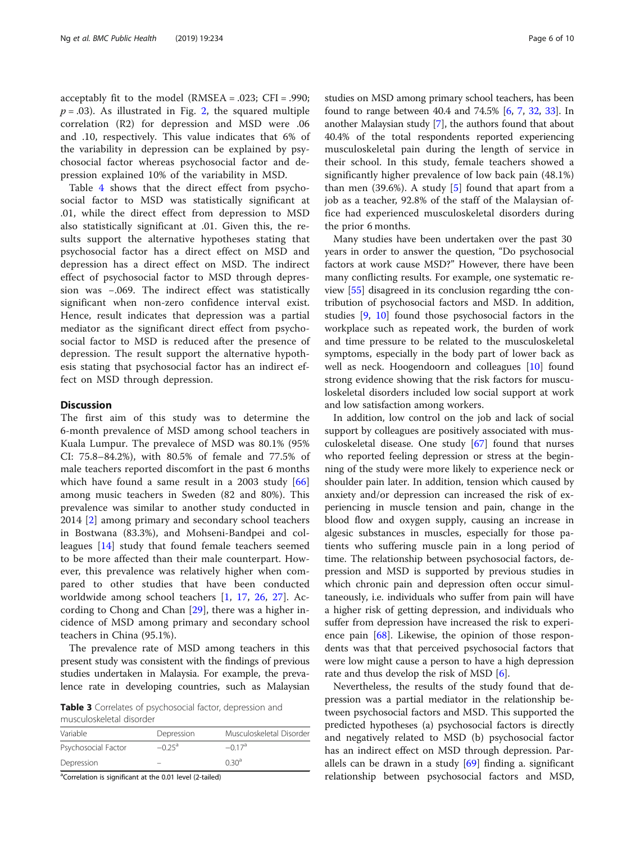<span id="page-5-0"></span>acceptably fit to the model (RMSEA = .023; CFI = .990;  $p = .03$ ). As illustrated in Fig. [2,](#page-6-0) the squared multiple correlation (R2) for depression and MSD were .06 and .10, respectively. This value indicates that 6% of the variability in depression can be explained by psychosocial factor whereas psychosocial factor and depression explained 10% of the variability in MSD.

Table [4](#page-6-0) shows that the direct effect from psychosocial factor to MSD was statistically significant at .01, while the direct effect from depression to MSD also statistically significant at .01. Given this, the results support the alternative hypotheses stating that psychosocial factor has a direct effect on MSD and depression has a direct effect on MSD. The indirect effect of psychosocial factor to MSD through depression was −.069. The indirect effect was statistically significant when non-zero confidence interval exist. Hence, result indicates that depression was a partial mediator as the significant direct effect from psychosocial factor to MSD is reduced after the presence of depression. The result support the alternative hypothesis stating that psychosocial factor has an indirect effect on MSD through depression.

#### **Discussion**

The first aim of this study was to determine the 6-month prevalence of MSD among school teachers in Kuala Lumpur. The prevalece of MSD was 80.1% (95% CI: 75.8–84.2%), with 80.5% of female and 77.5% of male teachers reported discomfort in the past 6 months which have found a same result in a 2003 study [\[66](#page-9-0)] among music teachers in Sweden (82 and 80%). This prevalence was similar to another study conducted in 2014 [\[2](#page-7-0)] among primary and secondary school teachers in Bostwana (83.3%), and Mohseni-Bandpei and colleagues [[14\]](#page-8-0) study that found female teachers seemed to be more affected than their male counterpart. However, this prevalence was relatively higher when compared to other studies that have been conducted worldwide among school teachers [[1](#page-7-0), [17](#page-8-0), [26,](#page-8-0) [27\]](#page-8-0). According to Chong and Chan [\[29](#page-8-0)], there was a higher incidence of MSD among primary and secondary school teachers in China (95.1%).

The prevalence rate of MSD among teachers in this present study was consistent with the findings of previous studies undertaken in Malaysia. For example, the prevalence rate in developing countries, such as Malaysian

Table 3 Correlates of psychosocial factor, depression and musculoskeletal disorder

| Variable            | Depression           | Musculoskeletal Disorder |  |  |
|---------------------|----------------------|--------------------------|--|--|
| Psychosocial Factor | $-0.25$ <sup>a</sup> | $-0.17$ <sup>a</sup>     |  |  |
| Depression          |                      | 0.30 <sup>a</sup>        |  |  |

<sup>a</sup>Correlation is significant at the 0.01 level (2-tailed)

studies on MSD among primary school teachers, has been found to range between 40.4 and 74.5% [\[6,](#page-7-0) [7](#page-7-0), [32,](#page-8-0) [33](#page-8-0)]. In another Malaysian study [\[7\]](#page-7-0), the authors found that about 40.4% of the total respondents reported experiencing musculoskeletal pain during the length of service in their school. In this study, female teachers showed a significantly higher prevalence of low back pain (48.1%) than men  $(39.6\%)$ . A study [\[5](#page-7-0)] found that apart from a job as a teacher, 92.8% of the staff of the Malaysian office had experienced musculoskeletal disorders during the prior 6 months.

Many studies have been undertaken over the past 30 years in order to answer the question, "Do psychosocial factors at work cause MSD?" However, there have been many conflicting results. For example, one systematic review [\[55](#page-8-0)] disagreed in its conclusion regarding tthe contribution of psychosocial factors and MSD. In addition, studies [[9,](#page-7-0) [10](#page-7-0)] found those psychosocial factors in the workplace such as repeated work, the burden of work and time pressure to be related to the musculoskeletal symptoms, especially in the body part of lower back as well as neck. Hoogendoorn and colleagues [[10\]](#page-7-0) found strong evidence showing that the risk factors for musculoskeletal disorders included low social support at work and low satisfaction among workers.

In addition, low control on the job and lack of social support by colleagues are positively associated with musculoskeletal disease. One study [[67\]](#page-9-0) found that nurses who reported feeling depression or stress at the beginning of the study were more likely to experience neck or shoulder pain later. In addition, tension which caused by anxiety and/or depression can increased the risk of experiencing in muscle tension and pain, change in the blood flow and oxygen supply, causing an increase in algesic substances in muscles, especially for those patients who suffering muscle pain in a long period of time. The relationship between psychosocial factors, depression and MSD is supported by previous studies in which chronic pain and depression often occur simultaneously, i.e. individuals who suffer from pain will have a higher risk of getting depression, and individuals who suffer from depression have increased the risk to experience pain [\[68](#page-9-0)]. Likewise, the opinion of those respondents was that that perceived psychosocial factors that were low might cause a person to have a high depression rate and thus develop the risk of MSD [\[6](#page-7-0)].

Nevertheless, the results of the study found that depression was a partial mediator in the relationship between psychosocial factors and MSD. This supported the predicted hypotheses (a) psychosocial factors is directly and negatively related to MSD (b) psychosocial factor has an indirect effect on MSD through depression. Parallels can be drawn in a study  $[69]$  $[69]$  finding a. significant relationship between psychosocial factors and MSD,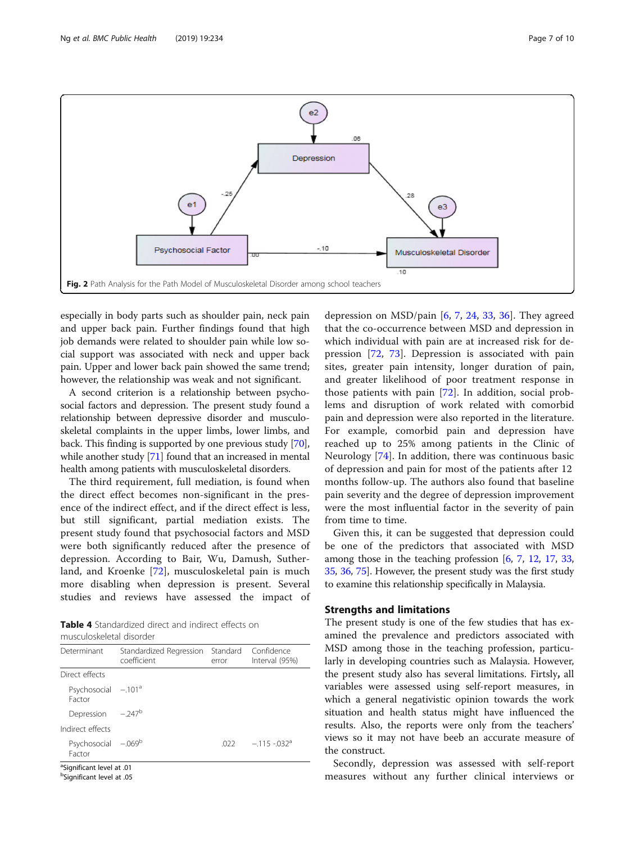<span id="page-6-0"></span>

especially in body parts such as shoulder pain, neck pain and upper back pain. Further findings found that high job demands were related to shoulder pain while low social support was associated with neck and upper back pain. Upper and lower back pain showed the same trend; however, the relationship was weak and not significant.

A second criterion is a relationship between psychosocial factors and depression. The present study found a relationship between depressive disorder and musculoskeletal complaints in the upper limbs, lower limbs, and back. This finding is supported by one previous study [[70](#page-9-0)], while another study [[71](#page-9-0)] found that an increased in mental health among patients with musculoskeletal disorders.

The third requirement, full mediation, is found when the direct effect becomes non-significant in the presence of the indirect effect, and if the direct effect is less, but still significant, partial mediation exists. The present study found that psychosocial factors and MSD were both significantly reduced after the presence of depression. According to Bair, Wu, Damush, Sutherland, and Kroenke [[72\]](#page-9-0), musculoskeletal pain is much more disabling when depression is present. Several studies and reviews have assessed the impact of

Table 4 Standardized direct and indirect effects on musculoskeletal disorder

| Determinant                                                                   | Standardized Regression Standard Confidence<br>coefficient | error | Interval (95%) |  |
|-------------------------------------------------------------------------------|------------------------------------------------------------|-------|----------------|--|
| Direct effects                                                                |                                                            |       |                |  |
| Psychosocial $-101^a$<br>Factor                                               |                                                            |       |                |  |
| Depression -.247 <sup>b</sup>                                                 |                                                            |       |                |  |
| Indirect effects                                                              |                                                            |       |                |  |
| Psychosocial -. 069b<br>Factor                                                |                                                            | .022  | $-.115-.032a$  |  |
| <sup>a</sup> Significant level at .01<br><sup>b</sup> Sianificant level at 05 |                                                            |       |                |  |

Significant level at .05

depression on MSD/pain  $[6, 7, 24, 33, 36]$  $[6, 7, 24, 33, 36]$  $[6, 7, 24, 33, 36]$  $[6, 7, 24, 33, 36]$  $[6, 7, 24, 33, 36]$  $[6, 7, 24, 33, 36]$  $[6, 7, 24, 33, 36]$  $[6, 7, 24, 33, 36]$  $[6, 7, 24, 33, 36]$  $[6, 7, 24, 33, 36]$ . They agreed that the co-occurrence between MSD and depression in which individual with pain are at increased risk for depression [[72,](#page-9-0) [73](#page-9-0)]. Depression is associated with pain sites, greater pain intensity, longer duration of pain, and greater likelihood of poor treatment response in those patients with pain [\[72](#page-9-0)]. In addition, social problems and disruption of work related with comorbid pain and depression were also reported in the literature. For example, comorbid pain and depression have reached up to 25% among patients in the Clinic of Neurology [[74\]](#page-9-0). In addition, there was continuous basic of depression and pain for most of the patients after 12 months follow-up. The authors also found that baseline pain severity and the degree of depression improvement were the most influential factor in the severity of pain from time to time.

Given this, it can be suggested that depression could be one of the predictors that associated with MSD among those in the teaching profession  $[6, 7, 12, 17, 33,$  $[6, 7, 12, 17, 33,$  $[6, 7, 12, 17, 33,$  $[6, 7, 12, 17, 33,$  $[6, 7, 12, 17, 33,$  $[6, 7, 12, 17, 33,$  $[6, 7, 12, 17, 33,$  $[6, 7, 12, 17, 33,$  $[6, 7, 12, 17, 33,$  $[6, 7, 12, 17, 33,$ [35](#page-8-0), [36](#page-8-0), [75\]](#page-9-0). However, the present study was the first study to examine this relationship specifically in Malaysia.

## Strengths and limitations

The present study is one of the few studies that has examined the prevalence and predictors associated with MSD among those in the teaching profession, particularly in developing countries such as Malaysia. However, the present study also has several limitations. Firtsly, all variables were assessed using self-report measures, in which a general negativistic opinion towards the work situation and health status might have influenced the results. Also, the reports were only from the teachers' views so it may not have beeb an accurate measure of the construct.

Secondly, depression was assessed with self-report measures without any further clinical interviews or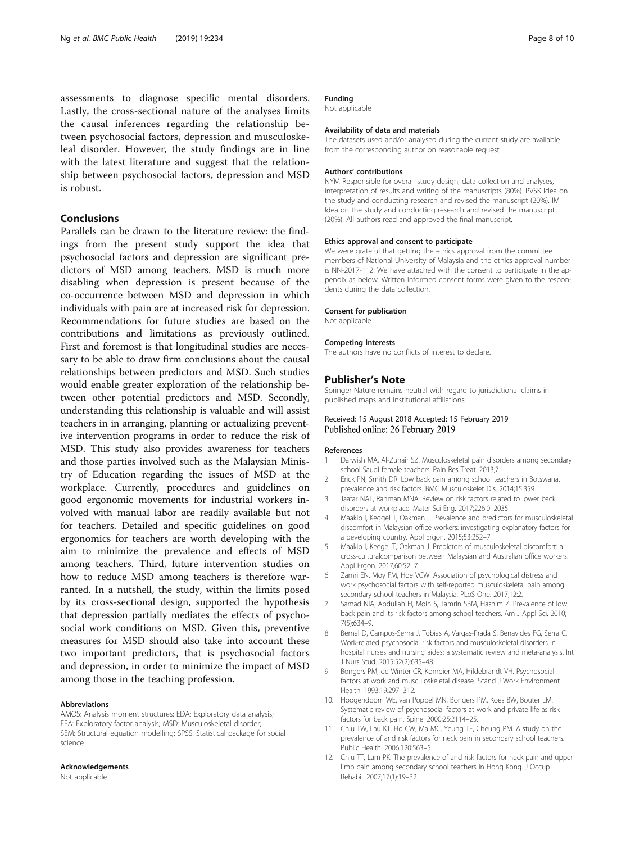<span id="page-7-0"></span>assessments to diagnose specific mental disorders. Lastly, the cross-sectional nature of the analyses limits the causal inferences regarding the relationship between psychosocial factors, depression and musculoskeleal disorder. However, the study findings are in line with the latest literature and suggest that the relationship between psychosocial factors, depression and MSD is robust.

## Conclusions

Parallels can be drawn to the literature review: the findings from the present study support the idea that psychosocial factors and depression are significant predictors of MSD among teachers. MSD is much more disabling when depression is present because of the co-occurrence between MSD and depression in which individuals with pain are at increased risk for depression. Recommendations for future studies are based on the contributions and limitations as previously outlined. First and foremost is that longitudinal studies are necessary to be able to draw firm conclusions about the causal relationships between predictors and MSD. Such studies would enable greater exploration of the relationship between other potential predictors and MSD. Secondly, understanding this relationship is valuable and will assist teachers in in arranging, planning or actualizing preventive intervention programs in order to reduce the risk of MSD. This study also provides awareness for teachers and those parties involved such as the Malaysian Ministry of Education regarding the issues of MSD at the workplace. Currently, procedures and guidelines on good ergonomic movements for industrial workers involved with manual labor are readily available but not for teachers. Detailed and specific guidelines on good ergonomics for teachers are worth developing with the aim to minimize the prevalence and effects of MSD among teachers. Third, future intervention studies on how to reduce MSD among teachers is therefore warranted. In a nutshell, the study, within the limits posed by its cross-sectional design, supported the hypothesis that depression partially mediates the effects of psychosocial work conditions on MSD. Given this, preventive measures for MSD should also take into account these two important predictors, that is psychosocial factors and depression, in order to minimize the impact of MSD among those in the teaching profession.

#### Abbreviations

AMOS: Analysis moment structures; EDA: Exploratory data analysis; EFA: Exploratory factor analysis; MSD: Musculoskeletal disorder; SEM: Structural equation modelling; SPSS: Statistical package for social science

#### Acknowledgements

Not applicable

## Funding

Not applicable

#### Availability of data and materials

The datasets used and/or analysed during the current study are available from the corresponding author on reasonable request.

#### Authors' contributions

NYM Responsible for overall study design, data collection and analyses, interpretation of results and writing of the manuscripts (80%). PVSK Idea on the study and conducting research and revised the manuscript (20%). IM Idea on the study and conducting research and revised the manuscript (20%). All authors read and approved the final manuscript.

#### Ethics approval and consent to participate

We were grateful that getting the ethics approval from the committee members of National University of Malaysia and the ethics approval number is NN-2017-112. We have attached with the consent to participate in the appendix as below. Written informed consent forms were given to the respondents during the data collection.

#### Consent for publication

Not applicable

#### Competing interests

The authors have no conflicts of interest to declare.

#### Publisher's Note

Springer Nature remains neutral with regard to jurisdictional claims in published maps and institutional affiliations.

#### Received: 15 August 2018 Accepted: 15 February 2019 Published online: 26 February 2019

#### References

- 1. Darwish MA, Al-Zuhair SZ. Musculoskeletal pain disorders among secondary school Saudi female teachers. Pain Res Treat. 2013;7.
- 2. Erick PN, Smith DR. Low back pain among school teachers in Botswana, prevalence and risk factors. BMC Musculoskelet Dis. 2014;15:359.
- 3. Jaafar NAT, Rahman MNA. Review on risk factors related to lower back disorders at workplace. Mater Sci Eng. 2017;226:012035.
- 4. Maakip I, Keggel T, Oakman J. Prevalence and predictors for musculoskeletal discomfort in Malaysian office workers: investigating explanatory factors for a developing country. Appl Ergon. 2015;53:252–7.
- 5. Maakip I, Keegel T, Oakman J. Predictors of musculoskeletal discomfort: a cross-culturalcomparison between Malaysian and Australian office workers. Appl Ergon. 2017;60:52–7.
- 6. Zamri EN, Moy FM, Hoe VCW. Association of psychological distress and work psychosocial factors with self-reported musculoskeletal pain among secondary school teachers in Malaysia. PLoS One. 2017;12:2.
- 7. Samad NIA, Abdullah H, Moin S, Tamrin SBM, Hashim Z. Prevalence of low back pain and its risk factors among school teachers. Am J Appl Sci. 2010; 7(5):634–9.
- 8. Bernal D, Campos-Serna J, Tobias A, Vargas-Prada S, Benavides FG, Serra C. Work-related psychosocial risk factors and musculoskeletal disorders in hospital nurses and nursing aides: a systematic review and meta-analysis. Int J Nurs Stud. 2015;52(2):635–48.
- 9. Bongers PM, de Winter CR, Kompier MA, Hildebrandt VH. Psychosocial factors at work and musculoskeletal disease. Scand J Work Environment Health. 1993;19:297–312.
- 10. Hoogendoorn WE, van Poppel MN, Bongers PM, Koes BW, Bouter LM. Systematic review of psychosocial factors at work and private life as risk factors for back pain. Spine. 2000;25:2114–25.
- 11. Chiu TW, Lau KT, Ho CW, Ma MC, Yeung TF, Cheung PM. A study on the prevalence of and risk factors for neck pain in secondary school teachers. Public Health. 2006;120:563–5.
- 12. Chiu TT, Lam PK. The prevalence of and risk factors for neck pain and upper limb pain among secondary school teachers in Hong Kong. J Occup Rehabil. 2007;17(1):19–32.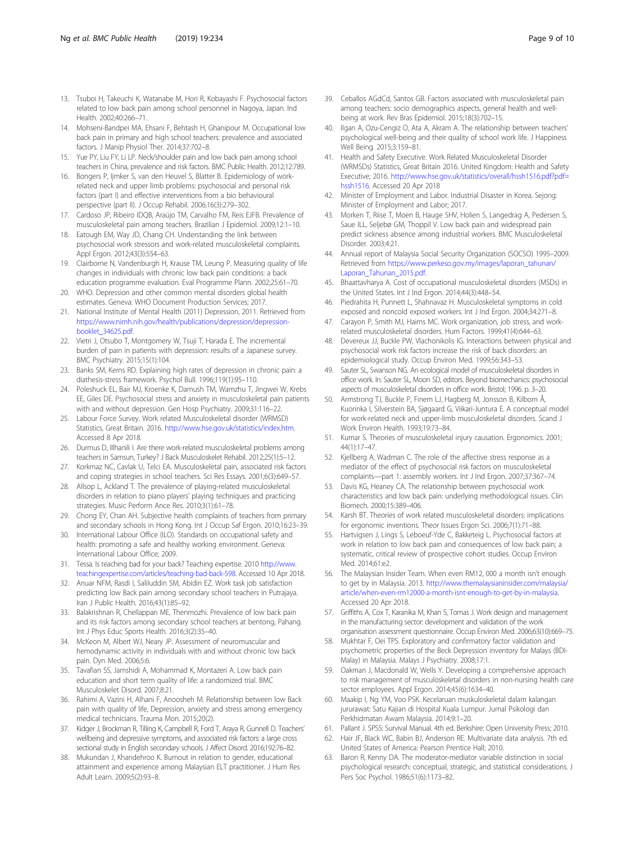- <span id="page-8-0"></span>13. Tsuboi H, Takeuchi K, Watanabe M, Hori R, Kobayashi F. Psychosocial factors related to low back pain among school personnel in Nagoya, Japan. Ind Health. 2002;40:266–71.
- 14. Mohseni-Bandpei MA, Ehsani F, Behtash H, Ghanipour M. Occupational low back pain in primary and high school teachers: prevalence and associated factors. J Manip Physiol Ther. 2014;37:702–8.
- 15. Yue PY, Liu FY, Li LP. Neck/shoulder pain and low back pain among school teachers in China, prevalence and risk factors. BMC Public Health. 2012;12:789.
- 16. Bongers P, Ijmker S, van den Heuvel S, Blatter B. Epidemiology of workrelated neck and upper limb problems: psychosocial and personal risk factors (part I) and effective interventions from a bio behavioural perspective (part II). J Occup Rehabil. 2006;16(3):279–302.
- 17. Cardoso JP, Ribeiro IDQB, Araújo TM, Carvalho FM, Reis EJFB. Prevalence of musculoskeletal pain among teachers. Brazilian J Epidemiol. 2009;12:1–10.
- 18. Eatough EM, Way JD, Chang CH. Understanding the link between psychosocial work stressors and work-related musculoskeletal complaints. Appl Ergon. 2012;43(3):554–63.
- 19. Clairborne N, Vandenburgh H, Krause TM, Leung P. Measuring quality of life changes in individuals with chronic low back pain conditions: a back education programme evaluation. Eval Programme Plann. 2002;25:61–70.
- 20. WHO. Depression and other common mental disorders global health estimates. Geneva: WHO Document Production Services; 2017.
- 21. National Institute of Mental Health (2011) Depression, 2011. Retrieved from [https://www.nimh.nih.gov/health/publications/depression/depression](https://www.nimh.nih.gov/health/publications/depression/depression-booklet_34625.pdf)[booklet\\_34625.pdf](https://www.nimh.nih.gov/health/publications/depression/depression-booklet_34625.pdf).
- 22. Vietri J, Otsubo T, Montgomery W, Tsuji T, Harada E. The incremental burden of pain in patients with depression: results of a Japanese survey. BMC Psychiatry. 2015;15(1):104.
- 23. Banks SM, Kerns RD. Explaining high rates of depression in chronic pain: a diathesis-stress framework. Psychol Bull. 1996;119(1):95–110.
- 24. Poleshuck EL, Bair MJ, Kroenke K, Damush TM, Wamzhu T, Jingwei W, Krebs EE, Giles DE. Psychosocial stress and anxiety in musculoskeletal pain patients with and without depression. Gen Hosp Psychiatry. 2009;31:116–22.
- 25. Labour Force Survey. Work related Musculoskeletal disorder (WRMSD) Statistics, Great Britain. 2016. [http://www.hse.gov.uk/statistics/index.htm.](http://www.hse.gov.uk/statistics/index.htm) Accessed 8 Apr 2018.
- 26. Durmus D, Illhanili I. Are there work-related musculoskeletal problems among teachers in Samsun, Turkey? J Back Musculoskelet Rehabil. 2012;25(1):5–12.
- 27. Korkmaz NC, Cavlak U, Telci EA. Musculoskeletal pain, associated risk factors and coping strategies in school teachers. Sci Res Essays. 2001;6(3):649–57.
- 28. Allsop L, Ackland T. The prevalence of playing-related musculoskeletal disorders in relation to piano players' playing techniques and practicing strategies. Music Perform Ance Res. 2010;3(1):61–78.
- 29. Chong EY, Chan AH. Subjective health complaints of teachers from primary and secondary schools in Hong Kong. Int J Occup Saf Ergon. 2010;16:23–39.
- 30. International Labour Office (ILO). Standards on occupational safety and health: promoting a safe and healthy working environment. Geneva: International Labour Office; 2009.
- 31. Tessa. Is teaching bad for your back? Teaching expertise. 2010 [http://www.](http://www.teachingexpertise.com/articles/teaching-bad-back-598) [teachingexpertise.com/articles/teaching-bad-back-598.](http://www.teachingexpertise.com/articles/teaching-bad-back-598) Accessed 10 Apr 2018.
- 32. Anuar NFM, Rasdi I, Saliluddin SM, Abidin EZ. Work task job satisfaction predicting low Back pain among secondary school teachers in Putrajaya. Iran J Public Health. 2016;43(1):85–92.
- 33. Balakrishnan R, Chellappan ME, Thenmozhi. Prevalence of low back pain and its risk factors among secondary school teachers at bentong, Pahang. Int J Phys Educ Sports Health. 2016;3(2):35–40.
- 34. McKeon M, Albert WJ, Neary JP. Assessment of neuromuscular and hemodynamic activity in individuals with and without chronic low back pain. Dyn Med. 2006;5:6.
- 35. Tavafian SS, Jamshidi A, Mohammad K, Montazeri A. Low back pain education and short term quality of life: a randomized trial. BMC Musculoskelet Disord. 2007;8:21.
- 36. Rahimi A, Vazini H, Alhani F, Anoosheh M. Relationship between low Back pain with quality of life, Depression, anxiety and stress among emergency medical technicians. Trauma Mon. 2015;20(2).
- 37. Kidger J, Brockman R, Tilling K, Campbell R, Ford T, Araya R, Gunnell D. Teachers' wellbeing and depressive symptoms, and associated risk factors: a large cross sectional study in English secondary schools. J Affect Disord. 2016;192:76–82.
- 38. Mukundan J, Khandehroo K. Burnout in relation to gender, educational attainment and experience among Malaysian ELT practitioner. J Hum Res Adult Learn. 2009;5(2):93–8.
- 39. Ceballos AGdCd, Santos GB. Factors associated with musculoskeletal pain among teachers: socio demographics aspects, general health and wellbeing at work. Rev Bras Epidemiol. 2015;18(3):702–15.
- 40. Ilgan A, Ozu-Cengiz O, Ata A, Akram A. The relationship between teachers' psychological well-being and their quality of school work life. J Happiness Well Being. 2015;3:159–81.
- 41. Health and Safety Executive. Work Related Musculoskeletal Disorder (WRMSDs) Statistics, Great Britain 2016. United Kingdom: Health and Safety Executive; 2016. [http://www.hse.gov.uk/statistics/overall/hssh1516.pdf?pdf=](http://www.hse.gov.uk/statistics/overall/hssh1516.pdf?pdf=hssh1516) [hssh1516](http://www.hse.gov.uk/statistics/overall/hssh1516.pdf?pdf=hssh1516). Accessed 20 Apr 2018
- 42. Minister of Employment and Labor. Industrial Disaster in Korea. Sejong: Minister of Employment and Labor; 2017.
- 43. Morken T, Riise T, Moen B, Hauge SHV, Holien S, Langedrag A, Pedersen S, Saue ILL, Seljebø GM, Thoppil V. Low back pain and widespread pain predict sickness absence among industrial workers. BMC Musculoskeletal Disorder. 2003;4:21.
- 44. Annual report of Malaysia Social Security Organization (SOCSO) 1995–2009. Retrieved from [https://www.perkeso.gov.my/images/laporan\\_tahunan/](https://www.perkeso.gov.my/images/laporan_tahunan/Laporan_Tahunan_2015.pdf) [Laporan\\_Tahunan\\_2015.pdf](https://www.perkeso.gov.my/images/laporan_tahunan/Laporan_Tahunan_2015.pdf).
- 45. Bhaattavharya A. Cost of occupational musculoskeletal disorders (MSDs) in the United States. Int J Ind Ergon. 2014;44(3):448–54.
- 46. Piedrahita H, Punnett L, Shahnavaz H. Musculoskeletal symptoms in cold exposed and noncold exposed workers. Int J Ind Ergon. 2004;34:271–8.
- 47. Carayon P, Smith MJ, Haims MC. Work organization, job stress, and workrelated musculoskeletal disorders. Hum Factors. 1999;41(4):644–63.
- 48. Devereux JJ, Buckle PW, Vlachonikolis IG. Interactions between physical and psychosocial work risk factors increase the risk of back disorders: an epidemiological study. Occup Environ Med. 1999;56:343–53.
- Sauter SL, Swanson NG. An ecological model of musculoskeletal disorders in office work. In: Sauter SL, Moon SD, editors. Beyond biomechanics: psychosocial aspects of musculoskeletal disorders in office work. Bristol; 1996. p. 3–20.
- 50. Armstrong TJ, Buckle P, Finem LJ, Hagberg M, Jonsson B, Kilbom Å, Kuorinka I, Silverstein BA, Sjøgaard G, Viikari-Juntura E. A conceptual model for work-related neck and upper-limb musculoskeletal disorders. Scand J Work Environ Health. 1993;19:73–84.
- 51. Kumar S. Theories of musculoskeletal injury causation. Ergonomics. 2001; 44(1):17–47.
- 52. Kjellberg A, Wadman C. The role of the affective stress response as a mediator of the effect of psychosocial risk factors on musculoskeletal complaints—part 1: assembly workers. Int J Ind Ergon. 2007;37:367–74.
- 53. Davis KG, Heaney CA. The relationship between psychosocial work characteristics and low back pain: underlying methodological issues. Clin Biomech. 2000;15:389–406.
- 54. Karsh BT. Theories of work related musculoskeletal disorders: implications for ergonomic inventions. Theor Issues Ergon Sci. 2006;7(1):71–88.
- 55. Hartvigsen J, Lings S, Leboeuf-Yde C, Bakketeig L. Psychosocial factors at work in relation to low back pain and consequences of low back pain; a systematic, critical review of prospective cohort studies. Occup Environ Med. 2014;61:e2.
- 56. The Malaysian Insider Team. When even RM12, 000 a month isn't enough to get by in Malaysia. 2013. [http://www.themalaysianinsider.com/malaysia/](http://www.themalaysianinsider.com/malaysia/article/when-even-rm12000-a-month-isnt-enough-to-get-by-in-malaysia) [article/when-even-rm12000-a-month-isnt-enough-to-get-by-in-malaysia](http://www.themalaysianinsider.com/malaysia/article/when-even-rm12000-a-month-isnt-enough-to-get-by-in-malaysia). Accessed 20 Apr 2018.
- 57. Griffiths A, Cox T, Karanika M, Khan S, Tomas J. Work design and management in the manufacturing sector: development and validation of the work organisation assessment questionnaire. Occup Environ Med. 2006;63(10):669–75.
- 58. Mukhtar F, Oei TPS. Exploratory and confirmatory factor validation and psychometric properties of the Beck Depression inventory for Malays (BDI-Malay) in Malaysia. Malays J Psychiatry. 2008;17:1.
- 59. Oakman J, Macdonald W, Wells Y. Developing a comprehensive approach to risk management of musculoskeletal disorders in non-nursing health care sector employees. Appl Ergon. 2014;45(6):1634–40.
- 60. Maakip I, Ng YM, Voo PSK. Kecelaruan muskuloskeletal dalam kalangan jururawat: Satu Kajian di Hospital Kuala Lumpur. Jurnal Psikologi dan Perkhidmatan Awam Malaysia. 2014;9:1–20.
- 61. Pallant J. SPSS: Survival Manual. 4th ed. Berkshire: Open University Press; 2010.
- 62. Hair JF, Black WC, Babin BJ, Anderson RE. Multivariate data analysis. 7th ed. United States of America: Pearson Prentice Hall; 2010.
- 63. Baron R, Kenny DA. The moderator-mediator variable distinction in social psychological research: conceptual, strategic, and statistical considerations. J Pers Soc Psychol. 1986;51(6):1173–82.